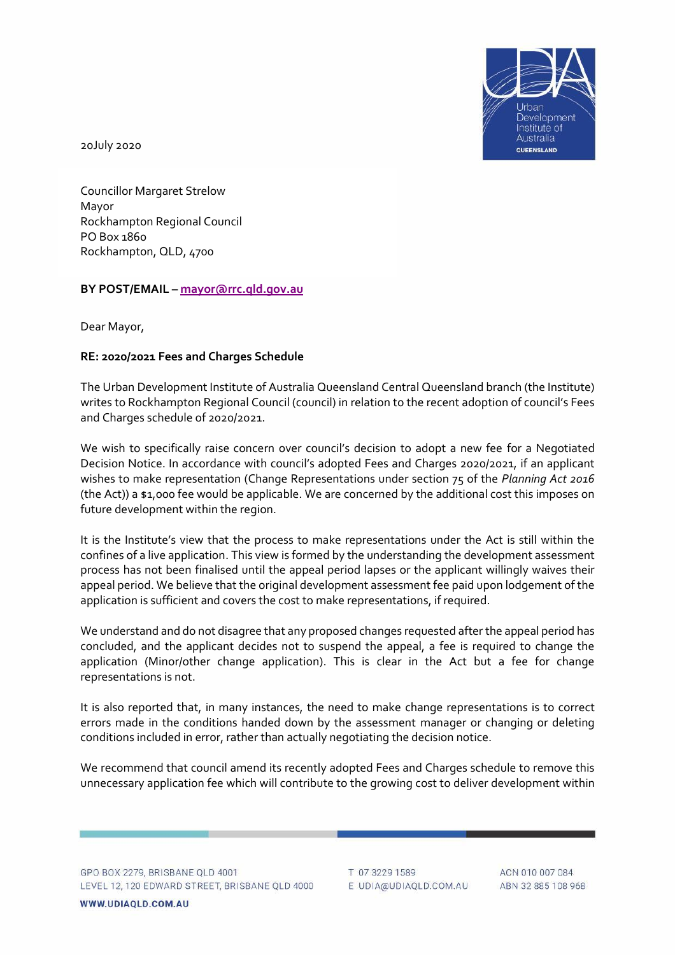

20July 2020

Councillor Margaret Strelow Mayor Rockhampton Regional Council PO Box 1860 Rockhampton, QLD, 4700

## **BY POST/EMAIL – [mayor@rrc.qld.gov.au](mailto:mayor@rrc.qld.gov.au)**

Dear Mayor,

## **RE: 2020/2021 Fees and Charges Schedule**

The Urban Development Institute of Australia Queensland Central Queensland branch (the Institute) writes to Rockhampton Regional Council (council) in relation to the recent adoption of council's Fees and Charges schedule of 2020/2021.

We wish to specifically raise concern over council's decision to adopt a new fee for a Negotiated Decision Notice. In accordance with council's adopted Fees and Charges 2020/2021, if an applicant wishes to make representation (Change Representations under section 75 of the *Planning Act 2016* (the Act)) a \$1,000 fee would be applicable. We are concerned by the additional cost this imposes on future development within the region.

It is the Institute's view that the process to make representations under the Act is still within the confines of a live application. This view is formed by the understanding the development assessment process has not been finalised until the appeal period lapses or the applicant willingly waives their appeal period. We believe that the original development assessment fee paid upon lodgement of the application is sufficient and covers the cost to make representations, if required.

We understand and do not disagree that any proposed changes requested after the appeal period has concluded, and the applicant decides not to suspend the appeal, a fee is required to change the application (Minor/other change application). This is clear in the Act but a fee for change representations is not.

It is also reported that, in many instances, the need to make change representations is to correct errors made in the conditions handed down by the assessment manager or changing or deleting conditions included in error, rather than actually negotiating the decision notice.

We recommend that council amend its recently adopted Fees and Charges schedule to remove this unnecessary application fee which will contribute to the growing cost to deliver development within

GPO BOX 2279, BRISBANE QLD 4001 LEVEL 12, 120 EDWARD STREET, BRISBANE QLD 4000

WWW.UDIAQLD.COM.AU

T 07 3229 1589 E UDIA@UDIAQLD.COM.AU

ACN 010 007 084 ABN 32 885 108 968